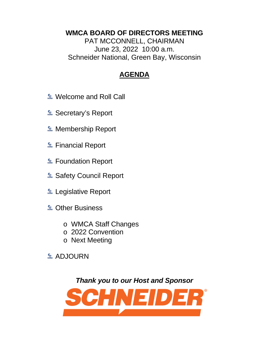## **WMCA BOARD OF DIRECTORS MEETING**

PAT MCCONNELL, CHAIRMAN June 23, 2022 10:00 a.m. Schneider National, Green Bay, Wisconsin

## **AGENDA**

- **E** Welcome and Roll Call
- **E.** Secretary's Report
- **E** Membership Report
- **E.** Financial Report
- **E** Foundation Report
- **E** Safety Council Report
- **Legislative Report**
- **& Other Business** 
	- o WMCA Staff Changes
	- o 2022 Convention
	- o Next Meeting
- **E** ADJOURN

*Thank you to our Host and Sponsor*

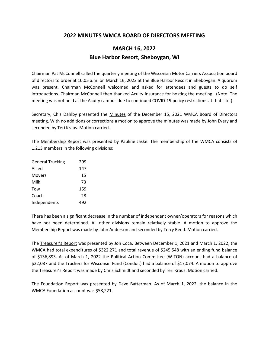## **2022 MINUTES WMCA BOARD OF DIRECTORS MEETING**

## **MARCH 16, 2022 Blue Harbor Resort, Sheboygan, WI**

Chairman Pat McConnell called the quarterly meeting of the Wisconsin Motor Carriers Association board of directors to order at 10:05 a.m. on March 16, 2022 at the Blue Harbor Resort in Sheboygan. A quorum was present. Chairman McConnell welcomed and asked for attendees and guests to do self introductions. Chairman McConnell then thanked Acuity Insurance for hosting the meeting. (Note: The meeting was not held at the Acuity campus due to continued COVID-19 policy restrictions at that site.)

Secretary, Chis Dahlby presented the Minutes of the December 15, 2021 WMCA Board of Directors meeting. With no additions or corrections a motion to approve the minutes was made by John Every and seconded by Teri Kraus. Motion carried.

The Membership Report was presented by Pauline Jaske. The membership of the WMCA consists of 1,213 members in the following divisions:

| <b>General Trucking</b> | 299 |
|-------------------------|-----|
| Allied                  | 147 |
| Movers                  | 15  |
| Milk                    | 73  |
| Tow                     | 159 |
| Coach                   | 28  |
| Independents            | 492 |

There has been a significant decrease in the number of independent owner/operators for reasons which have not been determined. All other divisions remain relatively stable. A motion to approve the Membership Report was made by John Anderson and seconded by Terry Reed. Motion carried.

The Treasurer's Report was presented by Jon Coca. Between December 1, 2021 and March 1, 2022, the WMCA had total expenditures of \$322,271 and total revenue of \$245,548 with an ending fund balance of \$136,893. As of March 1, 2022 the Political Action Committee (W-TON) account had a balance of \$22,087 and the Truckers for Wisconsin Fund (Conduit) had a balance of \$17,074. A motion to approve the Treasurer's Report was made by Chris Schmidt and seconded by Teri Kraus. Motion carried.

The Foundation Report was presented by Dave Batterman. As of March 1, 2022, the balance in the WMCA Foundation account was \$58,221.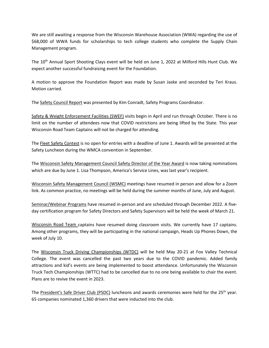We are still awaiting a response from the Wisconsin Warehouse Association (WWA) regarding the use of \$68,000 of WWA funds for scholarships to tech college students who complete the Supply Chain Management program.

The 10th Annual Sport Shooting Clays event will be held on June 1, 2022 at Milford Hills Hunt Club. We expect another successful fundraising event for the Foundation.

A motion to approve the Foundation Report was made by Susan Jaske and seconded by Teri Kraus. Motion carried.

The Safety Council Report was presented by Kim Conradt, Safety Programs Coordinator.

Safety & Weight Enforcement Facilities (SWEF) visits begin in April and run through October. There is no limit on the number of attendees now that COVID restrictions are being lifted by the State. This year Wisconsin Road Team Captains will not be charged for attending.

The Fleet Safety Contest is no open for entries with a deadline of June 1. Awards will be presented at the Safety Luncheon during the WMCA convention in September.

The Wisconsin Safety Management Council Safety Director of the Year Award is now taking nominations which are due by June 1. Lisa Thompson, America's Service Lines, was last year's recipient.

Wisconsin Safety Management Council (WSMC) meetings have resumed in person and allow for a Zoom link. As common practice, no meetings will be held during the summer months of June, July and August.

Seminar/Webinar Programs have resumed in-person and are scheduled through December 2022. A fiveday certification program for Safety Directors and Safety Supervisors will be held the week of March 21.

Wisconsin Road Team captains have resumed doing classroom visits. We currently have 17 captains. Among other programs, they will be participating in the national campaign, Heads Up Phones Down, the week of July 10.

The Wisconsin Truck Driving Championships (WTDC) will be held May 20-21 at Fox Valley Technical College. The event was cancelled the past two years due to the COVID pandemic. Added family attractions and kid's events are being implemented to boost attendance. Unfortunately the Wisconsin Truck Tech Championships (WTTC) had to be cancelled due to no one being available to chair the event. Plans are to revive the event in 2023.

The President's Safe Driver Club (PSDC) luncheons and awards ceremonies were held for the 25<sup>th</sup> year. 65 companies nominated 1,360 drivers that were inducted into the club.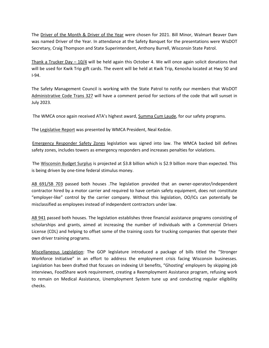The Driver of the Month & Driver of the Year were chosen for 2021. Bill Minor, Walmart Beaver Dam was named Driver of the Year. In attendance at the Safety Banquet for the presentations were WisDOT Secretary, Craig Thompson and State Superintendent, Anthony Burrell, Wisconsin State Patrol.

Thank a Trucker Day – 10/4 will be held again this October 4. We will once again solicit donations that will be used for Kwik Trip gift cards. The event will be held at Kwik Trip, Kenosha located at Hwy 50 and I-94.

The Safety Management Council is working with the State Patrol to notify our members that WisDOT Administrative Code Trans 327 will have a comment period for sections of the code that will sunset in July 2023.

The WMCA once again received ATA's highest award, Summa Cum Laude, for our safety programs.

The Legislative Report was presented by WMCA President, Neal Kedzie.

 Emergency Responder Safety Zones legislation was signed into law. The WMCA backed bill defines safety zones, includes towers as emergency responders and increases penalties for violations.

 The Wisconsin Budget Surplus is projected at \$3.8 billion which is \$2.9 billion more than expected. This is being driven by one-time federal stimulus money.

AB 691/SB 703 passed both houses .The legislation provided that an owner-operator/independent contractor hired by a motor carrier and required to have certain safety equipment, does not constitute "employer-like" control by the carrier company. Without this legislation, OO/ICs can potentially be misclassified as employees instead of independent contractors under law.

AB 941 passed both houses. The legislation establishes three financial assistance programs consisting of scholarships and grants, aimed at increasing the number of individuals with a Commercial Drivers License (CDL) and helping to offset some of the training costs for trucking companies that operate their own driver training programs.

Miscellaneous Legislation: The GOP legislature introduced a package of bills titled the "Stronger Workforce Initiative" in an effort to address the employment crisis facing Wisconsin businesses. Legislation has been drafted that focuses on indexing UI benefits, "Ghosting' employers by skipping job interviews, FoodShare work requirement, creating a Reemployment Assistance program, refusing work to remain on Medical Assistance, Unemployment System tune up and conducting regular eligibility checks.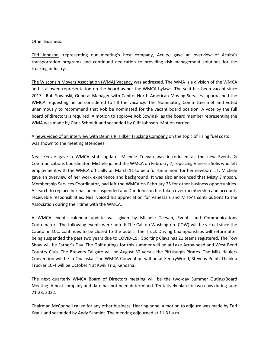#### Other Business:

Cliff Johnson, representing our meeting's host company, Acuity, gave an overview of Acuity's transportation programs and continued dedication to providing risk management solutions for the trucking industry.

The Wisconsin Movers Association (WMA) Vacancy was addressed. The WMA is a division of the WMCA and is allowed representation on the board as per the WMCA bylaws. The seat has been vacant since 2017. Rob Sowinski, General Manager with Capitol North American Moving Services, approached the WMCA requesting he be considered to fill the vacancy. The Nominating Committee met and voted unanimously to recommend that Rob be nominated for the vacant board position. A vote by the full board of directors is required. A motion to approve Rob Sowinski as the board member representing the WMA was made by Chris Schmidt and seconded by Cliff Johnson. Motion carried.

A news video of an interview with Dennis R. Hilker Trucking Company on the topic of rising fuel costs was shown to the meeting attendees.

Neal Kedzie gave a WMCA staff update. Michele Teevan was introduced as the new Events & Communications Coordinator. Michele joined the WMCA on February 7, replacing Vanessa Solis who left employment with the WMCA officially on March 11 to be a full-time mom for her newborn; JT. Michele gave an overview of her work experience and background. It was also announced that Misty Simpson, Membership Services Coordinator, had left the WMCA on February 25 for other business opportunities. A search to replace her has been suspended and Dan Johnson has taken over membership and accounts receivable responsibilities. Neal voiced his appreciation for Vanessa's and Misty's contributions to the Association during their time with the WMCA.

A WMCA events calendar update was given by Michele Teevan, Events and Communications Coordinator. The following events were noted: The Call on Washington (COW) will be virtual since the Capitol in D.C. continues to be closed to the public. The Truck Driving Championships will return after being suspended the past two years due to COVID-19. Sporting Clays has 21 teams registered. The Tow Show will be Father's Day. The Golf outings for this summer will be at Lake Arrowhead and West Bend Country Club. The Brewers Tailgate will be August 30 versus the Pittsburgh Pirates. The Milk Haulers Convention will be in Onalaska. The WMCA Convention will be at SentryWorld, Stevens Point. Thank a Trucker 10-4 will be October 4 at Kwik Trip, Kenosha.

The next quarterly WMCA Board of Directors meeting will be the two-day Summer Outing/Board Meeting. A host company and date has not been determined. Tentatively plan for two days during June 21-23, 2022.

Chairman McConnell called for any other business. Hearing none, a motion to adjourn was made by Teri Kraus and seconded by Andy Schmidt. The meeting adjourned at 11:31 a.m.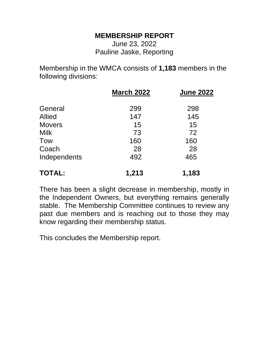## **MEMBERSHIP REPORT**

June 23, 2022 Pauline Jaske, Reporting

Membership in the WMCA consists of **1,183** members in the following divisions:

|               | <b>March 2022</b> | <b>June 2022</b> |
|---------------|-------------------|------------------|
| General       | 299               | 298              |
| <b>Allied</b> | 147               | 145              |
| <b>Movers</b> | 15                | 15               |
| <b>Milk</b>   | 73                | 72               |
| <b>Tow</b>    | 160               | 160              |
| Coach         | 28                | 28               |
| Independents  | 492               | 465              |
| <b>TOTAL:</b> | 1,213             | 1,183            |

There has been a slight decrease in membership, mostly in the Independent Owners, but everything remains generally stable. The Membership Committee continues to review any past due members and is reaching out to those they may know regarding their membership status.

This concludes the Membership report.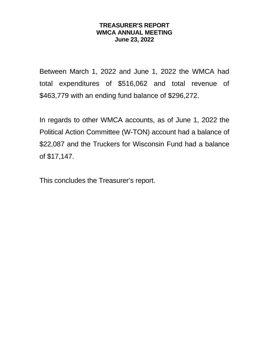## **TREASURER'S REPORT WMCA ANNUAL MEETING June 23, 2022**

Between March 1, 2022 and June 1, 2022 the WMCA had total expenditures of \$516,062 and total revenue of \$463,779 with an ending fund balance of \$296,272.

In regards to other WMCA accounts, as of June 1, 2022 the Political Action Committee (W-TON) account had a balance of \$22,087 and the Truckers for Wisconsin Fund had a balance of \$17,147.

This concludes the Treasurer's report.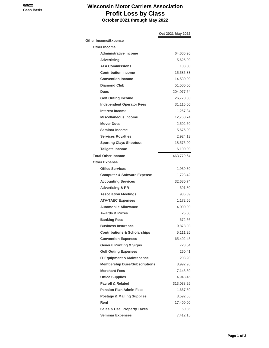## **Wisconsin Motor Carriers Association Profit Loss by Class October 2021 through May 2022**

|                                         | Oct 2021-May 2022 |
|-----------------------------------------|-------------------|
| <b>Other Income/Expense</b>             |                   |
| <b>Other Income</b>                     |                   |
| <b>Administrative Income</b>            | 64,666.96         |
| <b>Advertising</b>                      | 5,625.00          |
| <b>ATA Commissions</b>                  | 103.00            |
| <b>Contribution Income</b>              | 15,585.83         |
| <b>Convention Income</b>                | 14,530.00         |
| <b>Diamond Club</b>                     | 51,500.00         |
| <b>Dues</b>                             | 204,077.64        |
| <b>Golf Outing Income</b>               | 26,770.00         |
| <b>Independent Operator Fees</b>        | 31,115.00         |
| Interest Income                         | 1,267.84          |
| Miscellaneous Income                    | 12,760.74         |
| <b>Mover Dues</b>                       | 2,502.50          |
| <b>Seminar Income</b>                   | 5,676.00          |
| <b>Services Royalties</b>               | 2,924.13          |
| <b>Sporting Clays Shootout</b>          | 18,575.00         |
| <b>Tailgate Income</b>                  | 6,100.00          |
| <b>Total Other Income</b>               | 463,779.64        |
| <b>Other Expense</b>                    |                   |
| <b>Office Services</b>                  | 1,939.30          |
| <b>Computer &amp; Software Expense</b>  | 1,723.42          |
| <b>Accounting Services</b>              | 32,680.74         |
| <b>Advertising &amp; PR</b>             | 391.80            |
| <b>Association Meetings</b>             | 936.39            |
| <b>ATA-TAEC Expenses</b>                | 1,172.56          |
| <b>Automobile Allowance</b>             | 4,000.00          |
| <b>Awards &amp; Prizes</b>              | 25.50             |
| <b>Banking Fees</b>                     | 672.66            |
| <b>Business Insurance</b>               | 9,878.03          |
| <b>Contributions &amp; Scholarships</b> | 5,111.26          |
| <b>Convention Expenses</b>              | 65.402.45         |
| <b>General Printing &amp; Signs</b>     | 728.54            |
| <b>Golf Outing Expenses</b>             | 250.41            |
| <b>IT Equipment &amp; Maintenance</b>   | 203.20            |
| <b>Membership Dues/Subscriptions</b>    | 3.992.90          |
| <b>Merchant Fees</b>                    | 7,145.80          |
| <b>Office Supplies</b>                  | 4,943.46          |
| <b>Payroll &amp; Related</b>            | 313,038.26        |
| <b>Pension Plan Admin Fees</b>          | 1,667.50          |
| <b>Postage &amp; Mailing Supplies</b>   | 3,592.65          |
| Rent                                    | 17,400.00         |
| <b>Sales &amp; Use, Property Taxes</b>  | 50.85             |
| <b>Seminar Expenses</b>                 | 7,412.15          |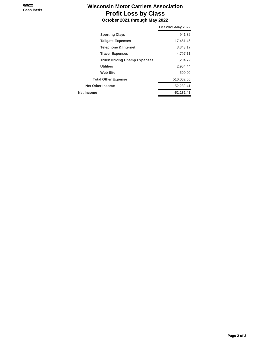## **Wisconsin Motor Carriers Association Profit Loss by Class October 2021 through May 2022**

| 941.32<br><b>Sporting Clays</b><br><b>Tailgate Expenses</b><br>17,461.46<br><b>Telephone &amp; Internet</b><br>3,843.17<br><b>Travel Expenses</b><br>4.797.11<br><b>Truck Driving Champ Expenses</b><br>1,204.72<br><b>Utilities</b><br>2,954.44<br><b>Web Site</b><br>500.00<br>516,062.05<br><b>Total Other Expense</b><br><b>Net Other Income</b><br>$-52,282.41$ | Oct 2021-May 2022 |
|----------------------------------------------------------------------------------------------------------------------------------------------------------------------------------------------------------------------------------------------------------------------------------------------------------------------------------------------------------------------|-------------------|
|                                                                                                                                                                                                                                                                                                                                                                      |                   |
|                                                                                                                                                                                                                                                                                                                                                                      |                   |
|                                                                                                                                                                                                                                                                                                                                                                      |                   |
|                                                                                                                                                                                                                                                                                                                                                                      |                   |
|                                                                                                                                                                                                                                                                                                                                                                      |                   |
|                                                                                                                                                                                                                                                                                                                                                                      |                   |
|                                                                                                                                                                                                                                                                                                                                                                      |                   |
|                                                                                                                                                                                                                                                                                                                                                                      |                   |
|                                                                                                                                                                                                                                                                                                                                                                      |                   |
| Net Income<br>$-52,282.41$                                                                                                                                                                                                                                                                                                                                           |                   |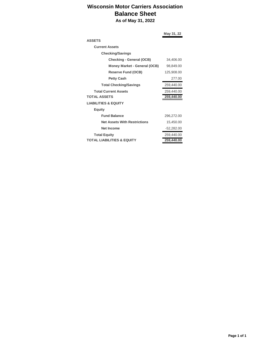### **Wisconsin Motor Carriers Association Balance Sheet As of May 31, 2022**

**May 31, 22 ASSETS Current Assets Checking/Savings Checking - General (OCB)** 34,406.00 **Money Market - General (OCB)** 98,849.00 **Reserve Fund (OCB)** 125,908.00 **Petty Cash** 277.00 **Total Checking/Savings** 259,440.00 **Total Current Assets** 259,440.00 **TOTAL ASSETS 259,440.00 LIABILITIES & EQUITY Equity Fund Balance** 296,272.00 **Net Assets With Restrictions** 15,450.00 **Net Income** -52,282.00 **Total Equity** 259,440.00 **TOTAL LIABILITIES & EQUITY 259,440.00**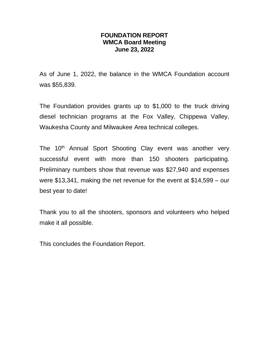## **FOUNDATION REPORT WMCA Board Meeting June 23, 2022**

As of June 1, 2022, the balance in the WMCA Foundation account was \$55,839.

The Foundation provides grants up to \$1,000 to the truck driving diesel technician programs at the Fox Valley, Chippewa Valley, Waukesha County and Milwaukee Area technical colleges.

The 10<sup>th</sup> Annual Sport Shooting Clay event was another very successful event with more than 150 shooters participating. Preliminary numbers show that revenue was \$27,940 and expenses were \$13,341, making the net revenue for the event at \$14,599 – our best year to date!

Thank you to all the shooters, sponsors and volunteers who helped make it all possible.

This concludes the Foundation Report.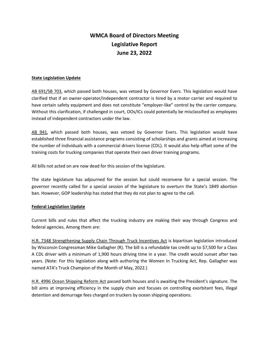## **WMCA Board of Directors Meeting Legislative Report June 23, 2022**

#### **State Legislation Update**

AB 691/SB 703, which passed both houses, was vetoed by Governor Evers. This legislation would have clarified that if an owner-operator/independent contractor is hired by a motor carrier and required to have certain safety equipment and does not constitute "employer-like" control by the carrier company. Without this clarification, if challenged in court, OOs/ICs could potentially be misclassified as employees instead of independent contractors under the law.

AB 941, which passed both houses, was vetoed by Governor Evers. This legislation would have established three financial assistance programs consisting of scholarships and grants aimed at increasing the number of individuals with a commercial drivers license (CDL). It would also help offset some of the training costs for trucking companies that operate their own driver training programs.

All bills not acted on are now dead for this session of the legislature.

The state legislature has adjourned for the session but could reconvene for a special session. The governor recently called for a special session of the legislature to overturn the State's 1849 abortion ban. However, GOP leadership has stated that they do not plan to agree to the call.

#### **Federal Legislation Update**

Current bills and rules that affect the trucking industry are making their way through Congress and federal agencies. Among them are:

H.R. 7348 Strengthening Supply Chain Through Truck Incentives Act is bipartisan legislation introduced by Wisconsin Congressman Mike Gallagher (R). The bill is a refundable tax credit up to \$7,500 for a Class A CDL driver with a minimum of 1,900 hours driving time in a year. The credit would sunset after two years. (Note: For this legislation along with authoring the Women In Trucking Act, Rep. Gallagher was named ATA's Truck Champion of the Month of May, 2022.)

H.R. 4996 Ocean Shipping Reform Act passed both houses and is awaiting the President's signature. The bill aims at improving efficiency in the supply chain and focuses on controlling exorbitant fees, illegal detention and demurrage fees charged on truckers by ocean shipping operations.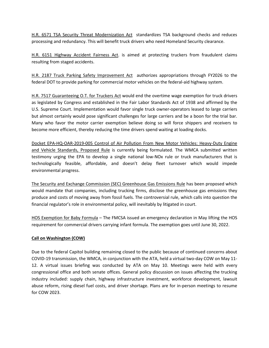H.R. 6571 TSA Security Threat Modernization Act standardizes TSA background checks and reduces processing and redundancy. This will benefit truck drivers who need Homeland Security clearance.

H.R. 6151 Highway Accident Fairness Act. is aimed at protecting truckers from fraudulent claims resulting from staged accidents.

H.R. 2187 Truck Parking Safety Improvement Act authorizes appropriations through FY2026 to the federal DOT to provide parking for commercial motor vehicles on the federal-aid highway system.

H.R. 7517 Guaranteeing O.T. for Truckers Act would end the overtime wage exemption for truck drivers as legislated by Congress and established in the Fair Labor Standards Act of 1938 and affirmed by the U.S. Supreme Court. Implementation would favor single truck owner-operators leased to large carriers but almost certainly would pose significant challenges for large carriers and be a boon for the trial bar. Many who favor the motor carrier exemption believe doing so will force shippers and receivers to become more efficient, thereby reducing the time drivers spend waiting at loading docks.

Docket EPA-HQ-OAR-2019-005 Control of Air Pollution From New Motor Vehicles: Heavy-Duty Engine and Vehicle Standards, Proposed Rule is currently being formulated. The WMCA submitted written testimony urging the EPA to develop a single national low-NOx rule or truck manufacturers that is technologically feasible, affordable, and doesn't delay fleet turnover which would impede environmental progress.

The Security and Exchange Commission (SEC) Greenhouse Gas Emissions Rule has been proposed which would mandate that companies, including trucking firms, disclose the greenhouse gas emissions they produce and costs of moving away from fossil fuels. The controversial rule, which calls into question the financial regulator's role in environmental policy, will inevitably by litigated in court.

HOS Exemption for Baby Formula – The FMCSA issued an emergency declaration in May lifting the HOS requirement for commercial drivers carrying infant formula. The exemption goes until June 30, 2022.

#### **Call on Washington (COW)**

Due to the federal Capitol building remaining closed to the public because of continued concerns about COVID-19 transmission, the WMCA, in conjunction with the ATA, held a virtual two-day COW on May 11- 12. A virtual issues briefing was conducted by ATA on May 10. Meetings were held with every congressional office and both senate offices. General policy discussion on issues affecting the trucking industry included: supply chain, highway infrastructure investment, workforce development, lawsuit abuse reform, rising diesel fuel costs, and driver shortage. Plans are for in-person meetings to resume for COW 2023.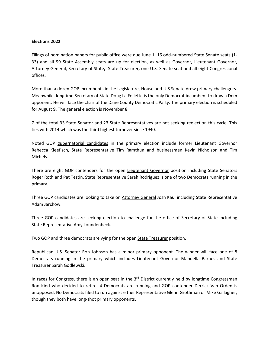#### **Elections 2022**

Filings of nomination papers for public office were due June 1. 16 odd-numbered State Senate seats (1- 33) and all 99 State Assembly seats are up for election, as well as Governor, Lieutenant Governor, Attorney General, Secretary of State**,** State Treasurer**,** one U.S. Senate seat and all eight Congressional offices.

More than a dozen GOP incumbents in the Legislature, House and U.S Senate drew primary challengers. Meanwhile, longtime Secretary of State Doug La Follette is the only Democrat incumbent to draw a Dem opponent. He will face the chair of the Dane County Democratic Party. The primary election is scheduled for August 9. The general election is November 8.

7 of the total 33 State Senator and 23 State Representatives are not seeking reelection this cycle. This ties with 2014 which was the third highest turnover since 1940.

Noted GOP gubernatorial candidates in the primary election include former Lieutenant Governor Rebecca Kleefisch, State Representative Tim Ramthun and businessmen Kevin Nicholson and Tim Michels.

There are eight GOP contenders for the open Lieutenant Governor position including State Senators Roger Roth and Pat Testin. State Representative Sarah Rodriguez is one of two Democrats running in the primary.

Three GOP candidates are looking to take on Attorney General Josh Kaul including State Representative Adam Jarchow.

Three GOP candidates are seeking election to challenge for the office of Secretary of State including State Representative Amy Loundenbeck.

Two GOP and three democrats are vying for the open **State Treasurer** position.

Republican U.S. Senator Ron Johnson has a minor primary opponent. The winner will face one of 8 Democrats running in the primary which includes Lieutenant Governor Mandella Barnes and State Treasurer Sarah Godlewski.

In races for Congress, there is an open seat in the 3<sup>rd</sup> District currently held by longtime Congressman Ron Kind who decided to retire. 4 Democrats are running and GOP contender Derrick Van Orden is unopposed. No Democrats filed to run against either Representative Glenn Grothman or Mike Gallagher, though they both have long-shot primary opponents.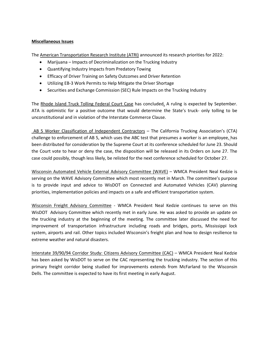#### **Miscellaneous Issues**

The American Transportation Research Institute (ATRI) announced its research priorities for 2022:

- Marijuana Impacts of Decriminalization on the Trucking Industry
- Quantifying Industry Impacts from Predatory Towing
- Efficacy of Driver Training on Safety Outcomes and Driver Retention
- Utilizing EB-3 Work Permits to Help Mitigate the Driver Shortage
- Securities and Exchange Commission (SEC) Rule Impacts on the Trucking Industry

The Rhode Island Truck Tolling Federal Court Case has concluded. A ruling is expected by September. ATA is optimistic for a positive outcome that would determine the State's truck- only tolling to be unconstitutional and in violation of the Interstate Commerce Clause.

AB 5 Worker Classification of Independent Contractors – The California Trucking Association's (CTA) challenge to enforcement of AB 5, which uses the ABC test that presumes a worker is an employee, has been distributed for consideration by the Supreme Court at its conference scheduled for June 23. Should the Court vote to hear or deny the case, the disposition will be released in its Orders on June 27. The case could possibly, though less likely, be relisted for the next conference scheduled for October 27.

Wisconsin Automated Vehicle External Advisory Committee (WAVE) – WMCA President Neal Kedzie is serving on the WAVE Advisory Committee which most recently met in March. The committee's purpose is to provide input and advice to WisDOT on Connected and Automated Vehicles (CAV) planning priorities, implementation policies and impacts on a safe and efficient transportation system.

Wisconsin Freight Advisory Committee - WMCA President Neal Kedzie continues to serve on this WisDOT Advisory Committee which recently met in early June. He was asked to provide an update on the trucking industry at the beginning of the meeting. The committee later discussed the need for improvement of transportation infrastructure including roads and bridges, ports, Mississippi lock system, airports and rail. Other topics included Wisconsin's freight plan and how to design resilience to extreme weather and natural disasters.

Interstate 39/90/94 Corridor Study: Citizens Advisory Committee (CAC) – WMCA President Neal Kedzie has been asked by WisDOT to serve on the CAC representing the trucking industry. The section of this primary freight corridor being studied for improvements extends from McFarland to the Wisconsin Dells. The committee is expected to have its first meeting in early August.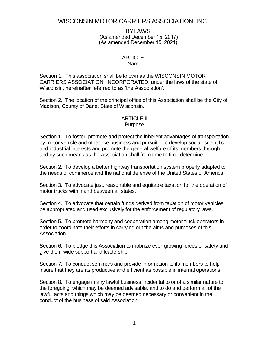## WISCONSIN MOTOR CARRIERS ASSOCIATION, INC.

BYLAWS (As amended December 15, 2017) (As amended December 15, 2021)

#### ARTICLE I Name

Section 1. This association shall be known as the WISCONSIN MOTOR CARRIERS ASSOCIATION, INCORPORATED, under the laws of the state of Wisconsin, hereinafter referred to as 'the Association'.

Section 2. The location of the principal office of this Association shall be the City of Madison, County of Dane, State of Wisconsin.

#### ARTICLE II Purpose

Section 1. To foster, promote and protect the inherent advantages of transportation by motor vehicle and other like business and pursuit. To develop social, scientific and industrial interests and promote the general welfare of its members through and by such means as the Association shall from time to time determine.

Section 2. To develop a better highway transportation system properly adapted to the needs of commerce and the national defense of the United States of America.

Section 3. To advocate just, reasonable and equitable taxation for the operation of motor trucks within and between all states.

Section 4. To advocate that certain funds derived from taxation of motor vehicles be appropriated and used exclusively for the enforcement of regulatory laws.

Section 5. To promote harmony and cooperation among motor truck operators in order to coordinate their efforts in carrying out the aims and purposes of this Association.

Section 6. To pledge this Association to mobilize ever-growing forces of safety and give them wide support and leadership.

Section 7. To conduct seminars and provide information to its members to help insure that they are as productive and efficient as possible in internal operations.

Section 8. To engage in any lawful business incidental to or of a similar nature to the foregoing, which may be deemed advisable, and to do and perform all of the lawful acts and things which may be deemed necessary or convenient in the conduct of the business of said Association.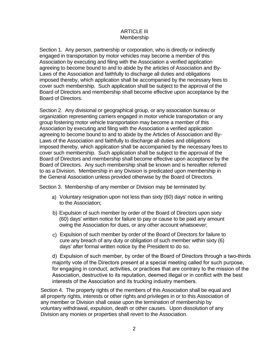### ARTICLE III Membership

Section 1. Any person, partnership or corporation, who is directly or indirectly engaged in transportation by motor vehicles may become a member of this Association by executing and filing with the Association a verified application agreeing to become bound to and to abide by the articles of Association and By-Laws of the Association and faithfully to discharge all duties and obligations imposed thereby, which application shall be accompanied by the necessary fees to cover such membership. Such application shall be subject to the approval of the Board of Directors and membership shall become effective upon acceptance by the Board of Directors.

Section 2. Any divisional or geographical group, or any association bureau or organization representing carriers engaged in motor vehicle transportation or any group fostering motor vehicle transportation may become a member of this Association by executing and filing with the Association a verified application agreeing to become bound to and to abide by the Articles of Association and By-Laws of the Association and faithfully to discharge all duties and obligations imposed thereby, which application shall be accompanied by the necessary fees to cover such membership. Such application shall be subject to the approval of the Board of Directors and membership shall become effective upon acceptance by the Board of Directors. Any such membership shall be known and is hereafter referred to as a Division. Membership in any Division is predicated upon membership in the General Association unless provided otherwise by the Board of Directors.

Section 3. Membership of any member or Division may be terminated by:

- a) Voluntary resignation upon not less than sixty (60) days' notice in writing to the Association;
- b) Expulsion of such member by order of the Board of Directors upon sixty (60) days' written notice for failure to pay or cause to be paid any amount owing the Association for dues, or any other account whatsoever;
- c) Expulsion of such member by order of the Board of Directors for failure to cure any breach of any duty or obligation of such member within sixty (6) days' after formal written notice by the President to do so.

d) Expulsion of such member, by order of the Board of Directors through a two-thirds majority vote of the Directors present at a special meeting called for such purpose, for engaging in conduct, activities, or practices that are contrary to the mission of the Association, destructive to its reputation, deemed illegal or in conflict with the best interests of the Association and its trucking industry members.

Section 4. The property rights of the members of this Association shall be equal and all property rights, interests or other rights and privileges in or to this Association of any member or Division shall cease upon the termination of membership by voluntary withdrawal, expulsion, death or other causes. Upon dissolution of any Division any monies or properties shall revert to the Association.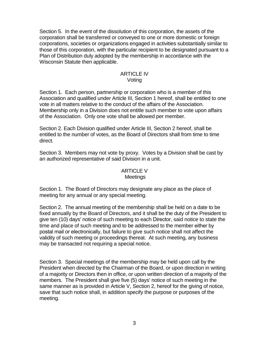Section 5. In the event of the dissolution of this corporation, the assets of the corporation shall be transferred or conveyed to one or more domestic or foreign corporations, societies or organizations engaged in activities substantially similar to those of this corporation, with the particular recipient to be designated pursuant to a Plan of Distribution duly adopted by the membership in accordance with the Wisconsin Statute then applicable.

#### ARTICLE IV Voting

Section 1. Each person, partnership or corporation who is a member of this Association and qualified under Article III, Section 1 hereof, shall be entitled to one vote in all matters relative to the conduct of the affairs of the Association. Membership only in a Division does not entitle such member to vote upon affairs of the Association. Only one vote shall be allowed per member.

Section 2. Each Division qualified under Article III, Section 2 hereof, shall be entitled to the number of votes, as the Board of Directors shall from time to time direct.

Section 3. Members may not vote by proxy. Votes by a Division shall be cast by an authorized representative of said Division in a unit.

### ARTICLE V

#### Meetings

Section 1. The Board of Directors may designate any place as the place of meeting for any annual or any special meeting.

Section 2. The annual meeting of the membership shall be held on a date to be fixed annually by the Board of Directors, and it shall be the duty of the President to give ten (10) days' notice of such meeting to each Director, said notice to state the time and place of such meeting and to be addressed to the member either by postal mail or electronically, but failure to give such notice shall not affect the validity of such meeting or proceedings thereat. At such meeting, any business may be transacted not requiring a special notice.

Section 3. Special meetings of the membership may be held upon call by the President when directed by the Chairman of the Board, or upon direction in writing of a majority or Directors then in office, or upon written direction of a majority of the members. The President shall give five (5) days' notice of such meeting in the same manner as is provided in Article V, Section 2, hereof for the giving of notice, save that such notice shall, in addition specify the purpose or purposes of the meeting.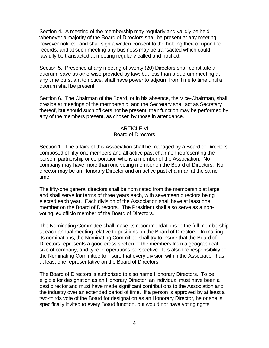Section 4. A meeting of the membership may regularly and validly be held whenever a majority of the Board of Directors shall be present at any meeting, however notified, and shall sign a written consent to the holding thereof upon the records, and at such meeting any business may be transacted which could lawfully be transacted at meeting regularly called and notified.

Section 5. Presence at any meeting of twenty (20) Directors shall constitute a quorum, save as otherwise provided by law; but less than a quorum meeting at any time pursuant to notice, shall have power to adjourn from time to time until a quorum shall be present.

Section 6. The Chairman of the Board, or in his absence, the Vice-Chairman, shall preside at meetings of the membership, and the Secretary shall act as Secretary thereof, but should such officers not be present, their function may be performed by any of the members present, as chosen by those in attendance.

#### ARTICLE VI

#### Board of Directors

Section 1. The affairs of this Association shall be managed by a Board of Directors composed of fifty-one members and all active past chairmen representing the person, partnership or corporation who is a member of the Association. No company may have more than one voting member on the Board of Directors. No director may be an Honorary Director and an active past chairman at the same time.

The fifty-one general directors shall be nominated from the membership at large and shall serve for terms of three years each, with seventeen directors being elected each year. Each division of the Association shall have at least one member on the Board of Directors. The President shall also serve as a nonvoting, ex officio member of the Board of Directors.

The Nominating Committee shall make its recommendations to the full membership at each annual meeting relative to positions on the Board of Directors. In making its nominations, the Nominating Committee shall try to insure that the Board of Directors represents a good cross section of the members from a geographical, size of company, and type of operations perspective. It is also the responsibility of the Nominating Committee to insure that every division within the Association has at least one representative on the Board of Directors.

The Board of Directors is authorized to also name Honorary Directors. To be eligible for designation as an Honorary Director, an individual must have been a past director and must have made significant contributions to the Association and the industry over an extended period of time. If a person is approved by at least a two-thirds vote of the Board for designation as an Honorary Director, he or she is specifically invited to every Board function, but would not have voting rights.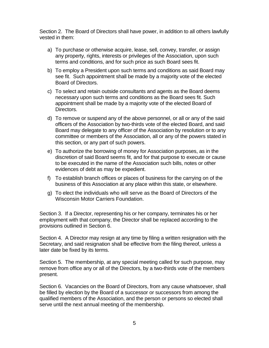Section 2. The Board of Directors shall have power, in addition to all others lawfully vested in them:

- a) To purchase or otherwise acquire, lease, sell, convey, transfer, or assign any property, rights, interests or privileges of the Association, upon such terms and conditions, and for such price as such Board sees fit.
- b) To employ a President upon such terms and conditions as said Board may see fit. Such appointment shall be made by a majority vote of the elected Board of Directors.
- c) To select and retain outside consultants and agents as the Board deems necessary upon such terms and conditions as the Board sees fit. Such appointment shall be made by a majority vote of the elected Board of Directors.
- d) To remove or suspend any of the above personnel, or all or any of the said officers of the Association by two-thirds vote of the elected Board, and said Board may delegate to any officer of the Association by resolution or to any committee or members of the Association, all or any of the powers stated in this section, or any part of such powers.
- e) To authorize the borrowing of money for Association purposes, as in the discretion of said Board seems fit, and for that purpose to execute or cause to be executed in the name of the Association such bills, notes or other evidences of debt as may be expedient.
- f) To establish branch offices or places of business for the carrying on of the business of this Association at any place within this state, or elsewhere.
- g) To elect the individuals who will serve as the Board of Directors of the Wisconsin Motor Carriers Foundation.

Section 3. If a Director, representing his or her company, terminates his or her employment with that company, the Director shall be replaced according to the provisions outlined in Section 6.

Section 4. A Director may resign at any time by filing a written resignation with the Secretary, and said resignation shall be effective from the filing thereof, unless a later date be fixed by its terms.

Section 5. The membership, at any special meeting called for such purpose, may remove from office any or all of the Directors, by a two-thirds vote of the members present.

Section 6. Vacancies on the Board of Directors, from any cause whatsoever, shall be filled by election by the Board of a successor or successors from among the qualified members of the Association, and the person or persons so elected shall serve until the next annual meeting of the membership.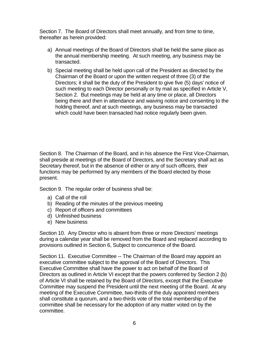Section 7. The Board of Directors shall meet annually, and from time to time, thereafter as herein provided:

- a) Annual meetings of the Board of Directors shall be held the same place as the annual membership meeting. At such meeting, any business may be transacted.
- b) Special meeting shall be held upon call of the President as directed by the Chairman of the Board or upon the written request of three (3) of the Directors; it shall be the duty of the President to give five (5) days' notice of such meeting to each Director personally or by mail as specified in Article V, Section 2. But meetings may be held at any time or place, all Directors being there and then in attendance and waiving notice and consenting to the holding thereof, and at such meetings, any business may be transacted which could have been transacted had notice regularly been given.

Section 8. The Chairman of the Board, and in his absence the First Vice-Chairman, shall preside at meetings of the Board of Directors, and the Secretary shall act as Secretary thereof, but in the absence of either or any of such officers, their functions may be performed by any members of the Board elected by those present.

Section 9. The regular order of business shall be:

- a) Call of the roll
- b) Reading of the minutes of the previous meeting
- c) Report of officers and committees
- d) Unfinished business
- e) New business

Section 10. Any Director who is absent from three or more Directors' meetings during a calendar year shall be removed from the Board and replaced according to provisions outlined in Section 6, Subject to concurrence of the Board.

Section 11. Executive Committee -- The Chairman of the Board may appoint an executive committee subject to the approval of the Board of Directors. This Executive Committee shall have the power to act on behalf of the Board of Directors as outlined in Article VI except that the powers conferred by Section 2 (b) of Article VI shall be retained by the Board of Directors, except that the Executive Committee may suspend the President until the next meeting of the Board. At any meeting of the Executive Committee, two-thirds of the duly appointed members shall constitute a quorum, and a two-thirds vote of the total membership of the committee shall be necessary for the adoption of any matter voted on by the committee.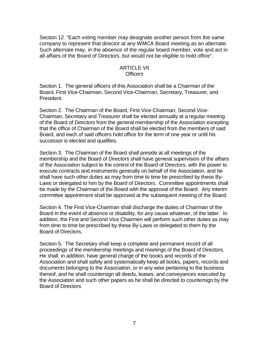Section 12. "Each voting member may designate another person from the same company to represent that director at any WMCA Board meeting as an alternate. Such alternate may, in the absence of the regular board member, vote and act in all affairs of the Board of Directors, but would not be eligible to hold office".

#### ARTICLE VII Officers

Section 1. The general officers of this Association shall be a Chairman of the Board, First Vice-Chairman, Second Vice-Chairman, Secretary, Treasurer, and President.

Section 2. The Chairman of the Board, First Vice-Chairman, Second Vice-Chairman, Secretary and Treasurer shall be elected annually at a regular meeting of the Board of Directors from the general membership of the Association excepting that the office of Chairman of the Board shall be elected from the members of said Board, and each of said officers hold office for the term of one year or until his successor is elected and qualifies.

Section 3. The Chairman of the Board shall preside at all meetings of the membership and the Board of Directors shall have general supervision of the affairs of the Association subject to the control of the Board of Directors, with the power to execute contracts and instruments generally on behalf of the Association, and he shall have such other duties as may from time to time be prescribed by these By-Laws or delegated to him by the Board of Directors. Committee appointments shall be made by the Chairman of the Board with the approval of the Board. Any interim committee appointment shall be approved at the subsequent meeting of the Board.

Section 4. The First Vice-Chairman shall discharge the duties of Chairman of the Board in the event of absence or disability, for any cause whatever, of the latter. In addition, the First and Second Vice Chairmen will perform such other duties as may from time to time be prescribed by these By-Laws or delegated to them by the Board of Directors.

Section 5. The Secretary shall keep a complete and permanent record of all proceedings of the membership meetings and meetings of the Board of Directors. He shall, in addition, have general charge of the books and records of the Association and shall safely and systematically keep all books, papers, records and documents belonging to the Association, or in any wise pertaining to the business thereof, and he shall countersign all deeds, leases, and conveyances executed by the Association and such other papers as he shall be directed to countersign by the Board of Directors.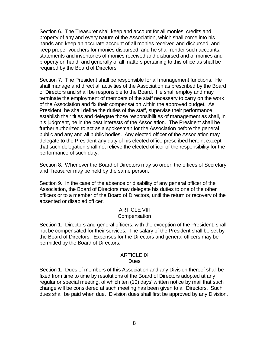Section 6. The Treasurer shall keep and account for all monies, credits and property of any and every nature of the Association, which shall come into his hands and keep an accurate account of all monies received and disbursed, and keep proper vouchers for monies disbursed, and he shall render such accounts, statements and inventories of monies received and disbursed and of monies and property on hand, and generally of all matters pertaining to this office as shall be required by the Board of Directors.

Section 7. The President shall be responsible for all management functions. He shall manage and direct all activities of the Association as prescribed by the Board of Directors and shall be responsible to the Board. He shall employ and may terminate the employment of members of the staff necessary to carry on the work of the Association and fix their compensation within the approved budget. As President, he shall define the duties of the staff, supervise their performance, establish their titles and delegate those responsibilities of management as shall, in his judgment, be in the best interests of the Association. The President shall be further authorized to act as a spokesman for the Association before the general public and any and all public bodies. Any elected officer of the Association may delegate to the President any duty of his elected office prescribed herein, except that such delegation shall not relieve the elected officer of the responsibility for the performance of such duty.

Section 8. Whenever the Board of Directors may so order, the offices of Secretary and Treasurer may be held by the same person.

Section 9. In the case of the absence or disability of any general officer of the Association, the Board of Directors may delegate his duties to one of the other officers or to a member of the Board of Directors, until the return or recovery of the absented or disabled officer.

#### ARTICLE VIII **Compensation**

Section 1. Directors and general officers, with the exception of the President, shall not be compensated for their services. The salary of the President shall be set by the Board of Directors. Expenses for the Directors and general officers may be permitted by the Board of Directors.

## ARTICLE IX

### **Dues**

Section 1. Dues of members of this Association and any Division thereof shall be fixed from time to time by resolutions of the Board of Directors adopted at any regular or special meeting, of which ten (10) days' written notice by mail that such change will be considered at such meeting has been given to all Directors. Such dues shall be paid when due. Division dues shall first be approved by any Division.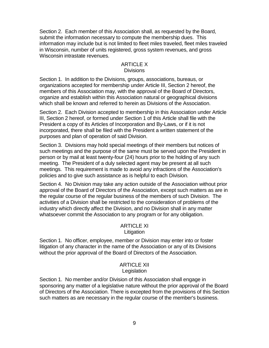Section 2. Each member of this Association shall, as requested by the Board, submit the information necessary to compute the membership dues. This information may include but is not limited to fleet miles traveled, fleet miles traveled in Wisconsin, number of units registered, gross system revenues, and gross Wisconsin intrastate revenues.

#### ARTICLE X **Divisions**

Section 1. In addition to the Divisions, groups, associations, bureaus, or organizations accepted for membership under Article III, Section 2 hereof, the members of this Association may, with the approval of the Board of Directors, organize and establish within this Association natural or geographical divisions which shall be known and referred to herein as Divisions of the Association.

Section 2. Each Division accepted to membership in this Association under Article III, Section 2 hereof, or formed under Section 1 of this Article shall file with the President a copy of its Articles of Incorporation and By-Laws, or if it is not incorporated, there shall be filed with the President a written statement of the purposes and plan of operation of said Division.

Section 3. Divisions may hold special meetings of their members but notices of such meetings and the purpose of the same must be served upon the President in person or by mail at least twenty-four (24) hours prior to the holding of any such meeting. The President of a duly selected agent may be present at all such meetings. This requirement is made to avoid any infractions of the Association's policies and to give such assistance as is helpful to each Division.

Section 4. No Division may take any action outside of the Association without prior approval of the Board of Directors of the Association, except such matters as are in the regular course of the regular business of the members of such Division. The activities of a Division shall be restricted to the consideration of problems of the industry which directly affect the Division, and no Division shall in any matter whatsoever commit the Association to any program or for any obligation.

## ARTICLE XI

**Litigation** 

Section 1. No officer, employee, member or Division may enter into or foster litigation of any character in the name of the Association or any of its Divisions without the prior approval of the Board of Directors of the Association.

#### ARTICLE XII **Legislation**

Section 1. No member and/or Division of this Association shall engage in sponsoring any matter of a legislative nature without the prior approval of the Board of Directors of the Association. There is excepted from the provisions of this Section such matters as are necessary in the regular course of the member's business.